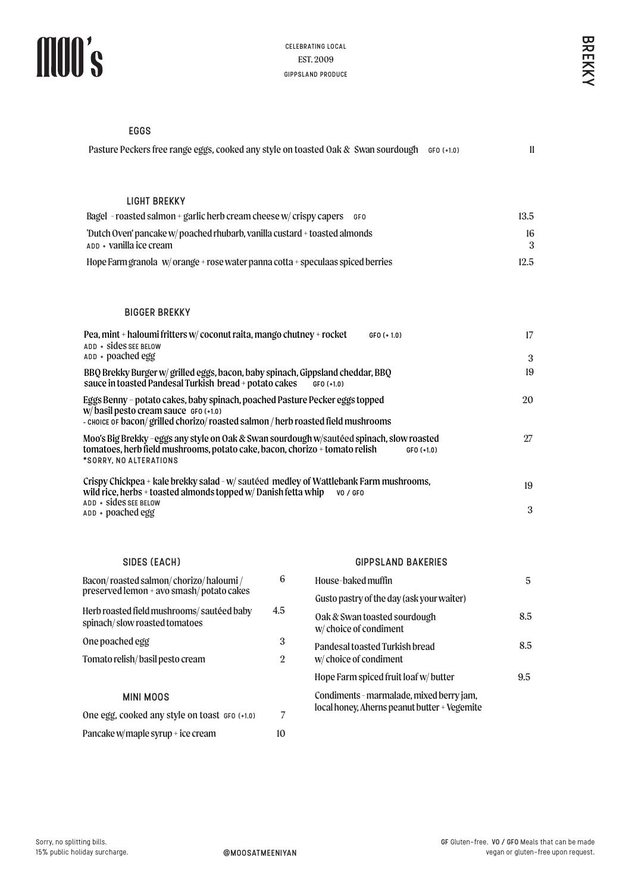| Pasture Peckers free range eggs, cooked any style on toasted Oak & Swan sourdough              | $GFO (+1.0)$ |      |
|------------------------------------------------------------------------------------------------|--------------|------|
|                                                                                                |              |      |
|                                                                                                |              |      |
| LIGHT BREKKY                                                                                   |              |      |
| Bagel - roasted salmon + garlic herb cream cheese $w/c$ crispy capers $\epsilon$ or $\epsilon$ |              | 13.5 |
| 'Dutch Oven' pancake w/ poached rhubarb, vanilla custard + toasted almonds                     |              | 16   |
| $ADD + Vanilla$ ice cream                                                                      |              |      |

### BIGGER BREKKY

| 1                                                                                                                                                                                                      |                        | <b>CELEBRATING LOCAL</b><br>EST. 2009<br><b>GIPPSLAND PRODUCE</b>                            |                                                                                       |        |  |
|--------------------------------------------------------------------------------------------------------------------------------------------------------------------------------------------------------|------------------------|----------------------------------------------------------------------------------------------|---------------------------------------------------------------------------------------|--------|--|
|                                                                                                                                                                                                        |                        |                                                                                              |                                                                                       | BREKKY |  |
| <b>EGGS</b>                                                                                                                                                                                            |                        |                                                                                              |                                                                                       |        |  |
|                                                                                                                                                                                                        |                        | Pasture Peckers free range eggs, cooked any style on toasted Oak & Swan sourdough GFO (+1.0) | $\mathbf{11}$                                                                         |        |  |
| <b>LIGHT BREKKY</b>                                                                                                                                                                                    |                        |                                                                                              |                                                                                       |        |  |
| Bagel - roasted salmon + garlic herb cream cheese w/ crispy capers GFO                                                                                                                                 |                        |                                                                                              | 13.5                                                                                  |        |  |
| 'Dutch Oven' pancake w/ poached rhubarb, vanilla custard + toasted almonds<br>ADD + Vanilla ice cream                                                                                                  |                        |                                                                                              | 16<br>3                                                                               |        |  |
| Hope Farm granola $w/$ orange + rose water panna cotta + speculaas spiced berries                                                                                                                      |                        |                                                                                              | 12.5                                                                                  |        |  |
| <b>BIGGER BREKKY</b>                                                                                                                                                                                   |                        |                                                                                              |                                                                                       |        |  |
| Pea, mint + haloumi fritters w/ coconut raita, mango chutney + rocket<br>ADD + Sides SEE BELOW<br>ADD + poached egg                                                                                    |                        | $GFO (+ 1.0)$                                                                                | 17<br>3                                                                               |        |  |
| BBQ Brekky Burger w/ grilled eggs, bacon, baby spinach, Gippsland cheddar, BBQ<br>sauce in toasted Pandesal Turkish bread + potato cakes                                                               |                        | $GFO(+1.0)$                                                                                  | 19                                                                                    |        |  |
| Eggs Benny - potato cakes, baby spinach, poached Pasture Pecker eggs topped<br>W/basil pesto cream sauce GFO (+1.0)<br>- CHOICE OF bacon/grilled chorizo/roasted salmon / herb roasted field mushrooms |                        |                                                                                              | 20                                                                                    |        |  |
| Moo's Big Brekky -eggs any style on Oak & Swan sourdough w/sautéed spinach, slow roasted<br>tomatoes, herb field mushrooms, potato cake, bacon, chorizo + tomato relish<br>*SORRY, NO ALTERATIONS      |                        | $GFO(+1.0)$                                                                                  | 27                                                                                    |        |  |
| Crispy Chickpea + kale brekky salad - w/ sautéed medley of Wattlebank Farm mushrooms,<br>wild rice, herbs + toasted almonds topped w/ Danish fetta whip<br>ADD + Sides SEE BELOW                       |                        | VO / GFO                                                                                     | 19                                                                                    |        |  |
| ADD + poached egg                                                                                                                                                                                      |                        |                                                                                              | 3                                                                                     |        |  |
| SIDES (EACH)                                                                                                                                                                                           |                        | <b>GIPPSLAND BAKERIES</b>                                                                    |                                                                                       |        |  |
| Bacon/roasted salmon/chorizo/haloumi/<br>preserved lemon + avo smash/potato cakes                                                                                                                      | 6                      | House-baked muffin                                                                           | 5                                                                                     |        |  |
| Herb roasted field mushrooms/sautéed baby                                                                                                                                                              | 4.5                    | Gusto pastry of the day (ask your waiter)                                                    |                                                                                       |        |  |
| spinach/slow roasted tomatoes                                                                                                                                                                          |                        | Oak & Swan toasted sourdough<br>w/choice of condiment                                        | 8.5                                                                                   |        |  |
| One poached egg                                                                                                                                                                                        | 3                      | Pandesal toasted Turkish bread                                                               | 8.5                                                                                   |        |  |
| Tomato relish/basil pesto cream                                                                                                                                                                        | $\overline{2}$         | w/choice of condiment                                                                        |                                                                                       |        |  |
|                                                                                                                                                                                                        |                        | Hope Farm spiced fruit loaf w/butter                                                         | 9.5                                                                                   |        |  |
| <b>MINI MOOS</b>                                                                                                                                                                                       |                        | Condiments - marmalade, mixed berry jam,<br>local honey, Aherns peanut butter + Vegemite     |                                                                                       |        |  |
| One egg, cooked any style on toast GFO (+1.0)                                                                                                                                                          | 7                      |                                                                                              |                                                                                       |        |  |
| Pancake w/maple syrup + ice cream                                                                                                                                                                      | 10                     |                                                                                              |                                                                                       |        |  |
|                                                                                                                                                                                                        |                        |                                                                                              |                                                                                       |        |  |
| ng bills.<br>day surcharge.                                                                                                                                                                            | <b>@MOOSATMEENIYAN</b> |                                                                                              | GF Gluten-free. VO / GFO Meals that can be made<br>vegan or gluten-free upon request. |        |  |

# SIDES (EACH)

| Bacon/roasted salmon/chorizo/haloumi/<br>preserved lemon + avo smash/potato cakes | 6   | H      |
|-----------------------------------------------------------------------------------|-----|--------|
| Herb roasted field mushrooms/sautéed baby                                         | 4.5 | G      |
| spinach/slow roasted tomatoes                                                     |     | ſ<br>V |
| One poached egg                                                                   | 3   | p      |
| Tomato relish/basil pesto cream                                                   | 2   | V      |
|                                                                                   |     | Н      |
| MINI MOOS                                                                         |     | C      |
| One egg, cooked any style on toast GFO (+1.0)                                     |     | k      |

### GIPPSLAND BAKERIES

| House-baked muffin                                                                       | 5   |
|------------------------------------------------------------------------------------------|-----|
| Gusto pastry of the day (ask your waiter)                                                |     |
| Oak & Swan toasted sourdough<br>w/ choice of condiment                                   | 8.5 |
| Pandesal toasted Turkish bread<br>w/ choice of condiment                                 | 8.5 |
| Hope Farm spiced fruit loaf w/ butter                                                    | 9.5 |
| Condiments - marmalade, mixed berry jam,<br>local honey, Aherns peanut butter + Vegemite |     |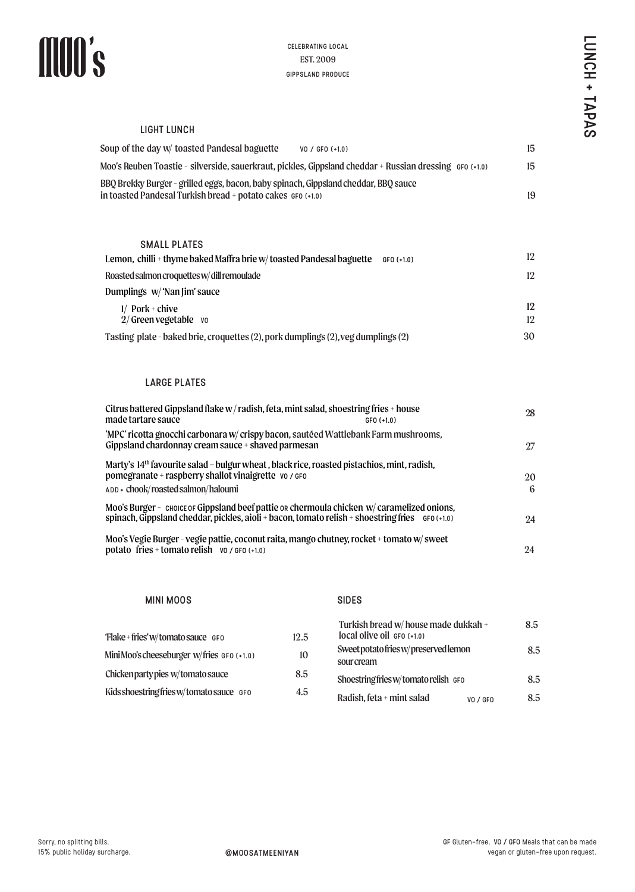## LIGHT LUNCH

| Soup of the day w/ toasted Pandesal baguette                                                                                                       | $VO / GFO (+1.0)$ | 15 |
|----------------------------------------------------------------------------------------------------------------------------------------------------|-------------------|----|
| Moo's Reuben Toastie - silverside, sauerkraut, pickles, Gippsland cheddar + Russian dressing   GFo (+1.0)                                          |                   | 15 |
| BBQ Brekky Burger - grilled eggs, bacon, baby spinach, Gippsland cheddar, BBQ sauce<br>in toasted Pandesal Turkish bread + potato cakes GFO (+1.0) |                   | 19 |
|                                                                                                                                                    |                   |    |

### SMALL PLATES

| Lemon,  chilli + thyme baked Maffra brie w/ toasted Pandesal baguette             | $GFO (+1.0)$ | 12       |
|-----------------------------------------------------------------------------------|--------------|----------|
| Roasted salmon croquettes w/ dill remoulade                                       |              | 12       |
| Dumplings  w/ 'Nan Jim' sauce                                                     |              |          |
| $1/$ Pork + chive<br>$2/G$ reen vegetable vo                                      |              | 12<br>12 |
| Tasting plate - baked brie, croquettes (2), pork dumplings (2), veg dumplings (2) |              | 30       |

# LARGE PLATES

|                                                                                                                                                                                                          | <b>CELEBRATING LOCAL</b>              |                                                                    |                                                 | <b>LDNCH</b> |
|----------------------------------------------------------------------------------------------------------------------------------------------------------------------------------------------------------|---------------------------------------|--------------------------------------------------------------------|-------------------------------------------------|--------------|
|                                                                                                                                                                                                          | EST. 2009<br><b>GIPPSLAND PRODUCE</b> |                                                                    |                                                 |              |
|                                                                                                                                                                                                          |                                       |                                                                    |                                                 | $\pm$        |
|                                                                                                                                                                                                          |                                       |                                                                    |                                                 |              |
| <b>LIGHT LUNCH</b>                                                                                                                                                                                       |                                       |                                                                    |                                                 | <b>TAPAS</b> |
| Soup of the day w/ toasted Pandesal baguette                                                                                                                                                             |                                       | VO / GFO (+1.0)                                                    | 15                                              |              |
| Moo's Reuben Toastie - silverside, sauerkraut, pickles, Gippsland cheddar + Russian dressing GFO (+1.0)                                                                                                  |                                       |                                                                    | 15                                              |              |
| BBQ Brekky Burger - grilled eggs, bacon, baby spinach, Gippsland cheddar, BBQ sauce                                                                                                                      |                                       |                                                                    |                                                 |              |
| n toasted Pandesal Turkish bread + potato cakes GFO (+1.0)                                                                                                                                               |                                       |                                                                    | 19                                              |              |
|                                                                                                                                                                                                          |                                       |                                                                    |                                                 |              |
| <b>SMALL PLATES</b>                                                                                                                                                                                      |                                       |                                                                    |                                                 |              |
| Lemon, chilli + thyme baked Maffra brie w/toasted Pandesal baguette GFO (+1.0)                                                                                                                           |                                       |                                                                    | 12                                              |              |
| Roasted salmon croquettes w/dill remoulade                                                                                                                                                               |                                       |                                                                    | 12                                              |              |
| Dumplings w/ 'Nan Jim' sauce                                                                                                                                                                             |                                       |                                                                    |                                                 |              |
| $1/$ Pork + chive<br>$2/$ Green vegetable vo                                                                                                                                                             |                                       |                                                                    | 12<br>12                                        |              |
| Tasting plate - baked brie, croquettes (2), pork dumplings (2), veg dumplings (2)                                                                                                                        |                                       |                                                                    | 30                                              |              |
|                                                                                                                                                                                                          |                                       |                                                                    |                                                 |              |
|                                                                                                                                                                                                          |                                       |                                                                    |                                                 |              |
| <b>LARGE PLATES</b>                                                                                                                                                                                      |                                       |                                                                    |                                                 |              |
| Citrus battered Gippsland flake w/radish, feta, mint salad, shoestring fries + house<br>made tartare sauce                                                                                               |                                       | GFO (+1.0)                                                         | 28                                              |              |
| 'MPC' ricotta gnocchi carbonara w/ crispy bacon, sautéed Wattlebank Farm mushrooms,                                                                                                                      |                                       |                                                                    |                                                 |              |
| Gippsland chardonnay cream sauce + shaved parmesan                                                                                                                                                       |                                       |                                                                    | 27                                              |              |
| Marty's 14 <sup>th</sup> favourite salad - bulgur wheat, black rice, roasted pistachios, mint, radish,<br>pomegranate + raspberry shallot vinaigrette vo / GFO                                           |                                       |                                                                    | 20                                              |              |
| ADD + chook/roasted salmon/haloumi                                                                                                                                                                       |                                       |                                                                    | 6                                               |              |
| Moo's Burger - choice of Gippsland beef pattie or chermoula chicken w/ caramelized onions,<br>spinach, Gippsland cheddar, pickles, aioli + bacon, tomato relish + shoestring fries $\epsilon$ GFO (+1.0) |                                       |                                                                    | 24                                              |              |
| Moo's Vegie Burger - vegie pattie, coconut raita, mango chutney, rocket + tomato w/ sweet                                                                                                                |                                       |                                                                    |                                                 |              |
| potato fries + tomato relish vo / GFO (+1.0)                                                                                                                                                             |                                       |                                                                    | 24                                              |              |
|                                                                                                                                                                                                          |                                       |                                                                    |                                                 |              |
| <b>MINI MOOS</b>                                                                                                                                                                                         |                                       | <b>SIDES</b>                                                       |                                                 |              |
|                                                                                                                                                                                                          |                                       |                                                                    |                                                 |              |
| 'Flake + fries' w/tomato sauce GFO                                                                                                                                                                       | 12.5                                  | Turkish bread w/ house made dukkah +<br>local olive oil GFO (+1.0) | 8.5                                             |              |
| Mini Moo's cheeseburger w/fries GFO (+1.0)                                                                                                                                                               | 10                                    | Sweet potato fries w/preserved lemon                               | 8.5                                             |              |
| Chicken party pies w/tomato sauce                                                                                                                                                                        | 8.5                                   | sour cream                                                         |                                                 |              |
| Kids shoestring fries w/tomato sauce GFO                                                                                                                                                                 | 4.5                                   | Shoestring fries w/tomato relish GFO                               | 8.5                                             |              |
|                                                                                                                                                                                                          |                                       | Radish, feta + mint salad<br>VO / GFO                              | 8.5                                             |              |
|                                                                                                                                                                                                          |                                       |                                                                    |                                                 |              |
|                                                                                                                                                                                                          |                                       |                                                                    |                                                 |              |
|                                                                                                                                                                                                          |                                       |                                                                    |                                                 |              |
|                                                                                                                                                                                                          |                                       |                                                                    |                                                 |              |
|                                                                                                                                                                                                          |                                       |                                                                    |                                                 |              |
|                                                                                                                                                                                                          |                                       |                                                                    |                                                 |              |
| ls.                                                                                                                                                                                                      |                                       |                                                                    | GF Gluten-free. VO / GFO Meals that can be made |              |
| urcharge.<br>@MOOSATMEENIYAN                                                                                                                                                                             |                                       |                                                                    | vegan or gluten-free upon request.              |              |

### MINI MOOS

# SIDES

| 'Flake + fries' w/tomato sauce GFO         | 12.5 | Turkish bread w/ house made dukkah +<br>$local$ olive oil $GFO$ $(+1.0)$ |          | 8.5 |
|--------------------------------------------|------|--------------------------------------------------------------------------|----------|-----|
| Mini Moo's cheeseburger w/fries GFO (+1.0) | 10   | Sweet potato fries w/preserved lemon<br>sour cream                       |          | 8.5 |
| Chicken party pies w/tomato sauce          | 8.5  | Shoestring fries w/tomato relish GFO                                     |          | 8.5 |
| Kids shoestring fries w/tomato sauce GFO   | 4.5  | Radish, feta + mint salad                                                | VO / GFO | 8.5 |